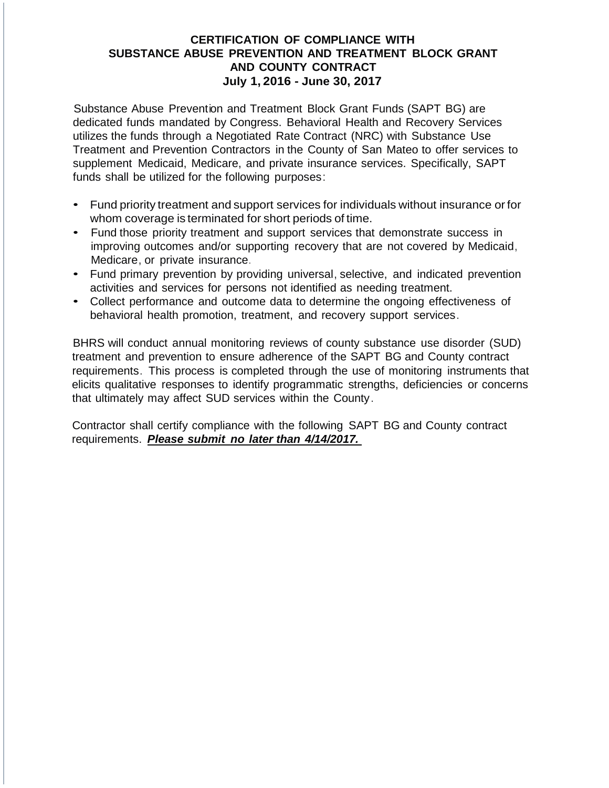Substance Abuse Prevention and Treatment Block Grant Funds (SAPT BG) are dedicated funds mandated by Congress. Behavioral Health and Recovery Services utilizes the funds through a Negotiated Rate Contract (NRC) with Substance Use Treatment and Prevention Contractors in the County of San Mateo to offer services to supplement Medicaid, Medicare, and private insurance services. Specifically, SAPT funds shall be utilized for the following purposes:

- Fund priority treatment and support services for individuals without insurance orfor whom coverage is terminated for short periods of time.
- Fund those priority treatment and support services that demonstrate success in improving outcomes and/or supporting recovery that are not covered by Medicaid, Medicare, or private insurance.
- Fund primary prevention by providing universal, selective, and indicated prevention activities and services for persons not identified as needing treatment.
- Collect performance and outcome data to determine the ongoing effectiveness of behavioral health promotion, treatment, and recovery support services.

BHRS will conduct annual monitoring reviews of county substance use disorder (SUD) treatment and prevention to ensure adherence of the SAPT BG and County contract requirements. This process is completed through the use of monitoring instruments that elicits qualitative responses to identify programmatic strengths, deficiencies or concerns that ultimately may affect SUD services within the County.

Contractor shall certify compliance with the following SAPT BG and County contract requirements. *Please submit no later than 4/14/2017.*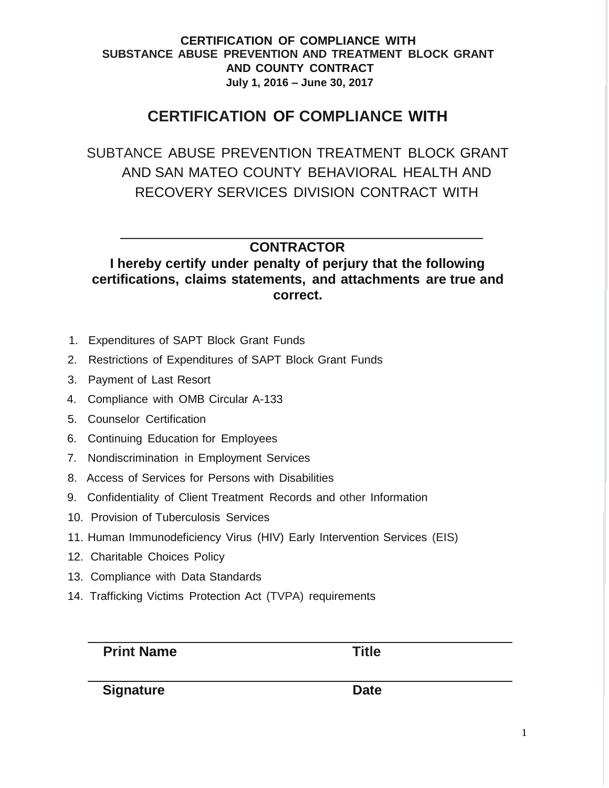# **CERTIFICATION OF COMPLIANCE WITH**

SUBTANCE ABUSE PREVENTION TREATMENT BLOCK GRANT AND SAN MATEO COUNTY BEHAVIORAL HEALTH AND RECOVERY SERVICES DIVISION CONTRACT WITH

# **CONTRACTOR**

**I hereby certify under penalty of perjury that the following certifications, claims statements, and attachments are true and correct.**

- 1. Expenditures of SAPT Block Grant Funds
- 2. Restrictions of Expenditures of SAPT Block Grant Funds
- 3. Payment of Last Resort
- 4. Compliance with OMB Circular A-133
- 5. Counselor Certification
- 6. Continuing Education for Employees
- 7. Nondiscrimination in Employment Services
- 8. Access of Services for Persons with Disabilities
- 9. Confidentiality of Client Treatment Records and other Information
- 10. Provision of Tuberculosis Services
- 11. Human Immunodeficiency Virus (HIV) Early Intervention Services (EIS)
- 12. Charitable Choices Policy
- 13. Compliance with Data Standards
- 14. Trafficking Victims Protection Act (TVPA) requirements

**Print Name Title**

**Signature Date**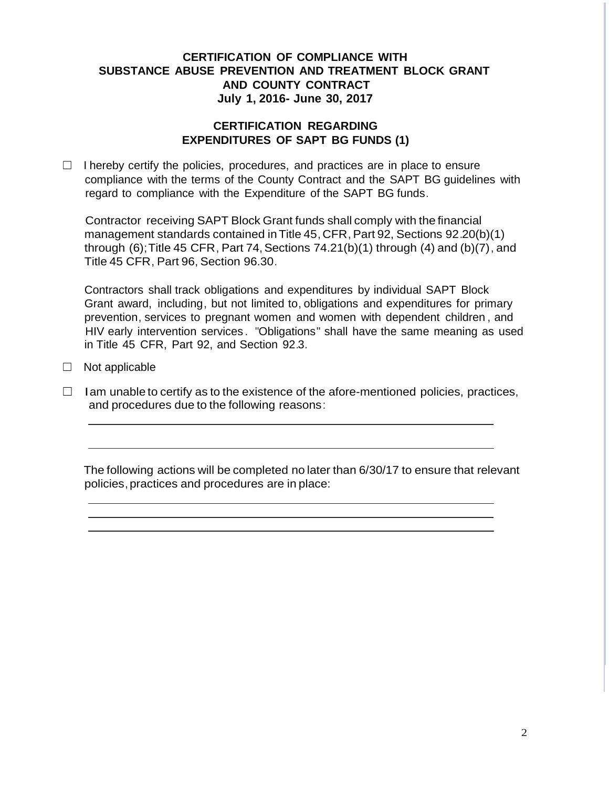#### **CERTIFICATION REGARDING EXPENDITURES OF SAPT BG FUNDS (1)**

 $\Box$  I hereby certify the policies, procedures, and practices are in place to ensure compliance with the terms of the County Contract and the SAPT BG guidelines with regard to compliance with the Expenditure of the SAPT BG funds.

Contractor receiving SAPT Block Grant funds shall comply with the financial management standards contained in Title 45, CFR, Part 92, Sections 92.20(b)(1) through  $(6)$ ; Title 45 CFR, Part 74, Sections 74.21 $(b)(1)$  through  $(4)$  and  $(b)(7)$ , and Title 45 CFR, Part 96, Section 96.30.

Contractors shall track obligations and expenditures by individual SAPT Block Grant award, including, but not limited to, obligations and expenditures for primary prevention, services to pregnant women and women with dependent children , and HIV early intervention services . "Obligations" shall have the same meaning as used in Title 45 CFR, Part 92, and Section 92.3.

 $\Box$  Not applicable

 $\Box$  Iam unable to certify as to the existence of the afore-mentioned policies, practices, and procedures due to the following reasons: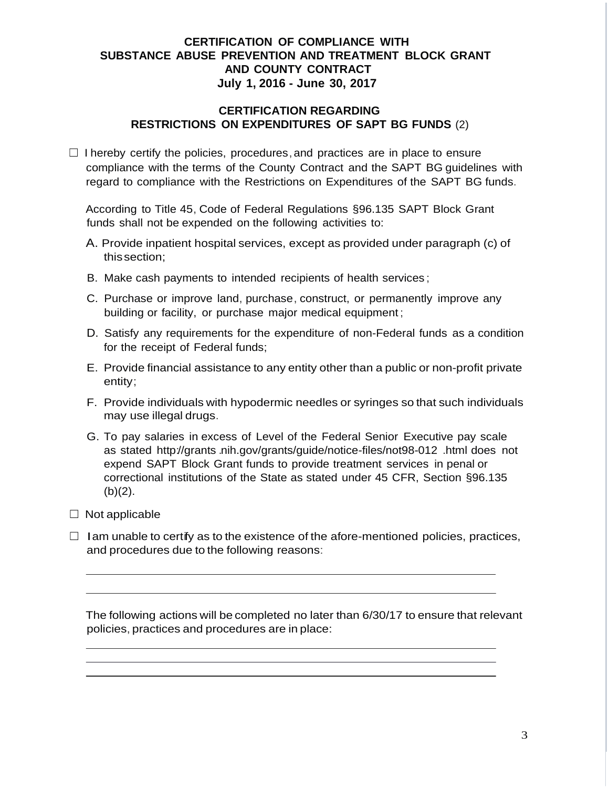#### **CERTIFICATION REGARDING RESTRICTIONS ON EXPENDITURES OF SAPT BG FUNDS** (2)

 $\Box$  I hereby certify the policies, procedures, and practices are in place to ensure compliance with the terms of the County Contract and the SAPT BG guidelines with regard to compliance with the Restrictions on Expenditures of the SAPT BG funds.

According to Title 45, Code of Federal Regulations §96.135 SAPT Block Grant funds shall not be expended on the following activities to:

- A. Provide inpatient hospital services, except as provided under paragraph (c) of thissection;
- B. Make cash payments to intended recipients of health services ;
- C. Purchase or improve land, purchase, construct, or permanently improve any building or facility, or purchase major medical equipment ;
- D. Satisfy any requirements for the expenditure of non-Federal funds as a condition for the receipt of Federal funds;
- E. Provide financial assistance to any entity other than a public or non-profit private entity;
- F. Provide individuals with hypodermic needles or syringes so that such individuals may use illegal drugs.
- G. To pay salaries in excess of Level of the Federal Senior Executive pay scale as stated http://grants .nih.gov/grants/guide/notice-files/not98-012 .html does not expend SAPT Block Grant funds to provide treatment services in penal or correctional institutions of the State as stated under 45 CFR, Section §96.135  $(b)(2)$ .
- $\Box$  Not applicable
- $\Box$  Iam unable to certify as to the existence of the afore-mentioned policies, practices, and procedures due to the following reasons: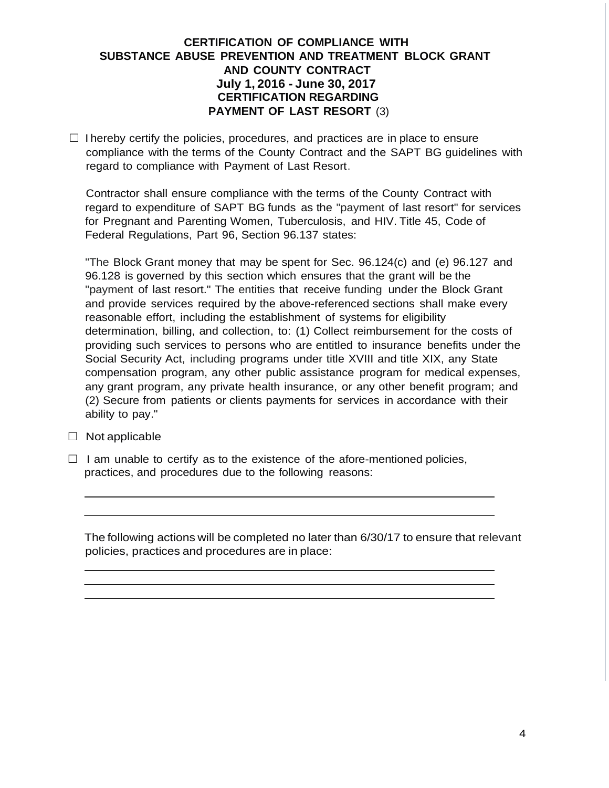#### **CERTIFICATION OF COMPLIANCE WITH SUBSTANCE ABUSE PREVENTION AND TREATMENT BLOCK GRANT AND COUNTY CONTRACT July 1, 2016 - June 30, 2017 CERTIFICATION REGARDING PAYMENT OF LAST RESORT** (3)

 $\Box$  I hereby certify the policies, procedures, and practices are in place to ensure compliance with the terms of the County Contract and the SAPT BG guidelines with regard to compliance with Payment of Last Resort.

Contractor shall ensure compliance with the terms of the County Contract with regard to expenditure of SAPT BG funds as the "payment of last resort" for services for Pregnant and Parenting Women, Tuberculosis, and HIV. Title 45, Code of Federal Regulations, Part 96, Section 96.137 states:

"The Block Grant money that may be spent for Sec. 96.124(c) and (e) 96.127 and 96.128 is governed by this section which ensures that the grant will be the "payment of last resort." The entities that receive funding under the Block Grant and provide services required by the above-referenced sections shall make every reasonable effort, including the establishment of systems for eligibility determination, billing, and collection, to: (1) Collect reimbursement for the costs of providing such services to persons who are entitled to insurance benefits under the Social Security Act, including programs under title XVIII and title XIX, any State compensation program, any other public assistance program for medical expenses, any grant program, any private health insurance, or any other benefit program; and (2) Secure from patients or clients payments for services in accordance with their ability to pay."

- $\Box$  Not applicable
- $\Box$  I am unable to certify as to the existence of the afore-mentioned policies, practices, and procedures due to the following reasons: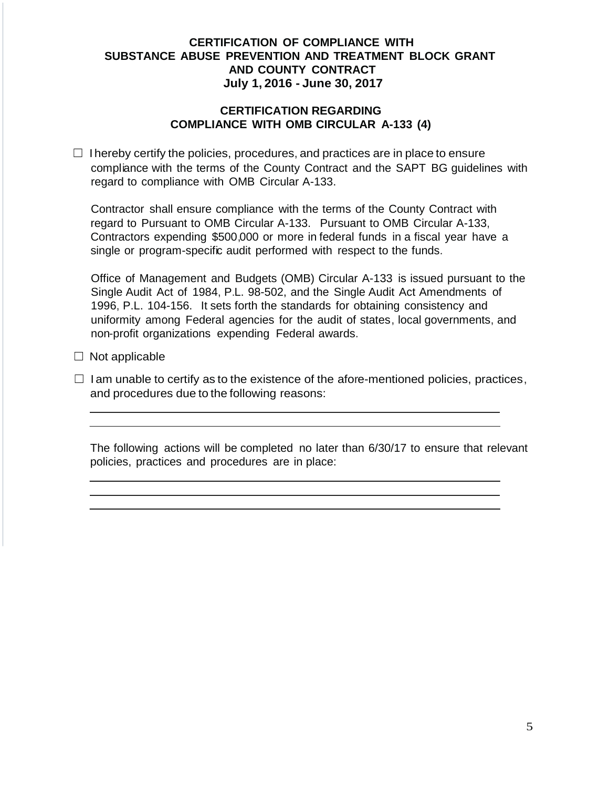#### **CERTIFICATION REGARDING COMPLIANCE WITH OMB CIRCULAR A-133 (4)**

 $\Box$  I hereby certify the policies, procedures, and practices are in place to ensure compliance with the terms of the County Contract and the SAPT BG guidelines with regard to compliance with OMB Circular A-133.

Contractor shall ensure compliance with the terms of the County Contract with regard to Pursuant to OMB Circular A-133. Pursuant to OMB Circular A-133, Contractors expending \$500,000 or more in federal funds in a fiscal year have a single or program-specific audit performed with respect to the funds.

Office of Management and Budgets (OMB) Circular A-133 is issued pursuant to the Single Audit Act of 1984, P.L. 98-502, and the Single Audit Act Amendments of 1996, P.L. 104-156. It sets forth the standards for obtaining consistency and uniformity among Federal agencies for the audit of states, local governments, and non-profit organizations expending Federal awards.

- $\Box$  Not applicable
- $\Box$  I am unable to certify as to the existence of the afore-mentioned policies, practices, and procedures due to the following reasons: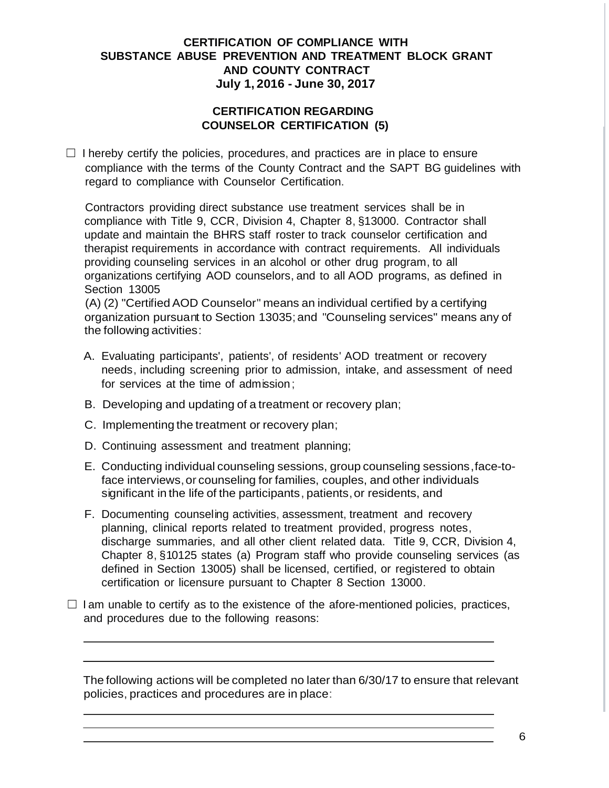#### **CERTIFICATION REGARDING COUNSELOR CERTIFICATION (5)**

 $\Box$  I hereby certify the policies, procedures, and practices are in place to ensure compliance with the terms of the County Contract and the SAPT BG guidelines with regard to compliance with Counselor Certification.

Contractors providing direct substance use treatment services shall be in compliance with Title 9, CCR, Division 4, Chapter 8, §13000. Contractor shall update and maintain the BHRS staff roster to track counselor certification and therapist requirements in accordance with contract requirements. All individuals providing counseling services in an alcohol or other drug program, to all organizations certifying AOD counselors, and to all AOD programs, as defined in Section 13005

(A) (2) "Certified AOD Counselor" means an individual certified by a certifying organization pursuant to Section 13035; and "Counseling services" means any of the following activities:

- A. Evaluating participants', patients', of residents' AOD treatment or recovery needs, including screening prior to admission, intake, and assessment of need for services at the time of admission;
- B. Developing and updating of a treatment or recovery plan;
- C. Implementing the treatment or recovery plan;
- D. Continuing assessment and treatment planning;
- E. Conducting individual counseling sessions, group counseling sessions,face-toface interviews,or counseling for families, couples, and other individuals significant in the life of the participants, patients, or residents, and
- F. Documenting counseling activities, assessment, treatment and recovery planning, clinical reports related to treatment provided, progress notes, discharge summaries, and all other client related data. Title 9, CCR, Division 4, Chapter 8, §10125 states (a) Program staff who provide counseling services (as defined in Section 13005) shall be licensed, certified, or registered to obtain certification or licensure pursuant to Chapter 8 Section 13000.
- $\Box$  I am unable to certify as to the existence of the afore-mentioned policies, practices, and procedures due to the following reasons: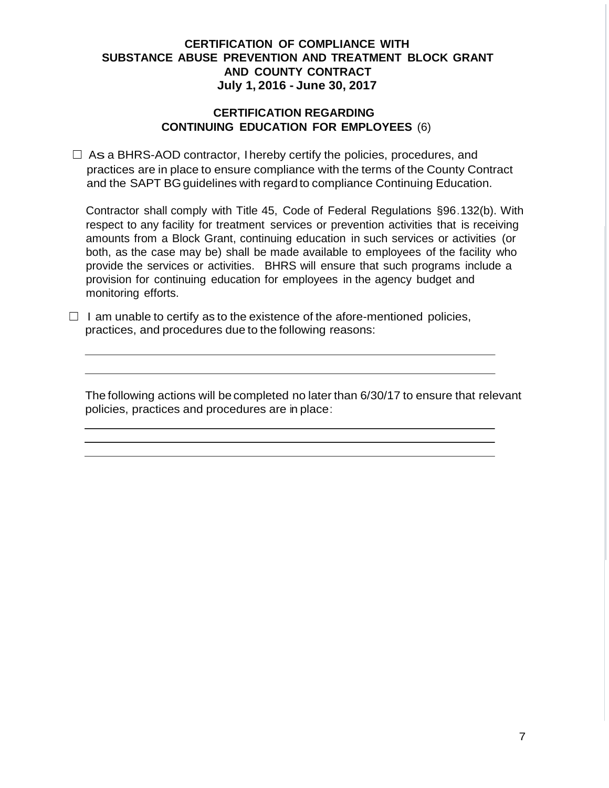#### **CERTIFICATION REGARDING CONTINUING EDUCATION FOR EMPLOYEES** (6)

 $\Box$  As a BHRS-AOD contractor, I hereby certify the policies, procedures, and practices are in place to ensure compliance with the terms of the County Contract and the SAPT BG guidelines with regard to compliance Continuing Education.

Contractor shall comply with Title 45, Code of Federal Regulations §96.132(b). With respect to any facility for treatment services or prevention activities that is receiving amounts from a Block Grant, continuing education in such services or activities (or both, as the case may be) shall be made available to employees of the facility who provide the services or activities. BHRS will ensure that such programs include a provision for continuing education for employees in the agency budget and monitoring efforts.

 $\Box$  I am unable to certify as to the existence of the afore-mentioned policies, practices, and procedures due to the following reasons: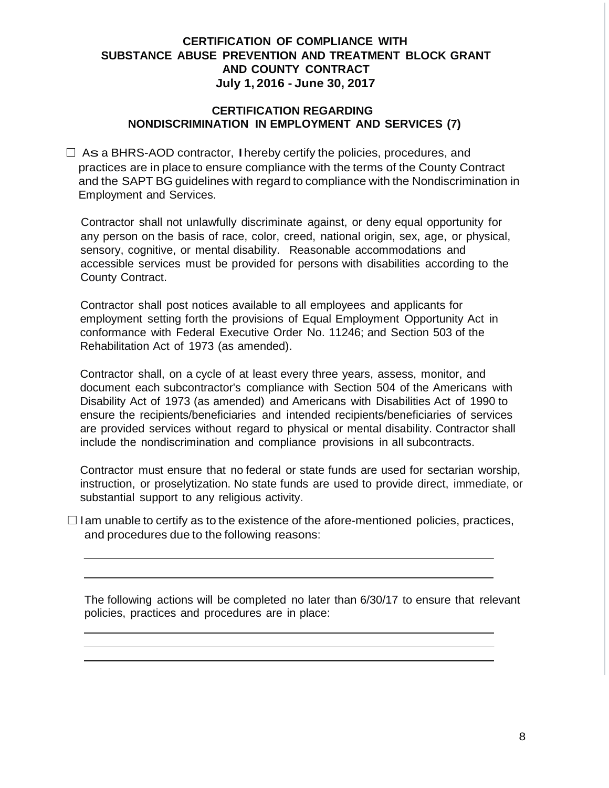#### **CERTIFICATION REGARDING NONDISCRIMINATION IN EMPLOYMENT AND SERVICES (7)**

 $\Box$  As a BHRS-AOD contractor, I hereby certify the policies, procedures, and practices are in place to ensure compliance with the terms of the County Contract and the SAPT BG guidelines with regard to compliance with the Nondiscrimination in Employment and Services.

Contractor shall not unlawfully discriminate against, or deny equal opportunity for any person on the basis of race, color, creed, national origin, sex, age, or physical, sensory, cognitive, or mental disability. Reasonable accommodations and accessible services must be provided for persons with disabilities according to the County Contract.

Contractor shall post notices available to all employees and applicants for employment setting forth the provisions of Equal Employment Opportunity Act in conformance with Federal Executive Order No. 11246; and Section 503 of the Rehabilitation Act of 1973 (as amended).

Contractor shall, on a cycle of at least every three years, assess, monitor, and document each subcontractor's compliance with Section 504 of the Americans with Disability Act of 1973 (as amended) and Americans with Disabilities Act of 1990 to ensure the recipients/beneficiaries and intended recipients/beneficiaries of services are provided services without regard to physical or mental disability. Contractor shall include the nondiscrimination and compliance provisions in all subcontracts.

Contractor must ensure that no federal or state funds are used for sectarian worship, instruction, or proselytization. No state funds are used to provide direct, immediate, or substantial support to any religious activity.

 $\Box$  Iam unable to certify as to the existence of the afore-mentioned policies, practices, and procedures due to the following reasons: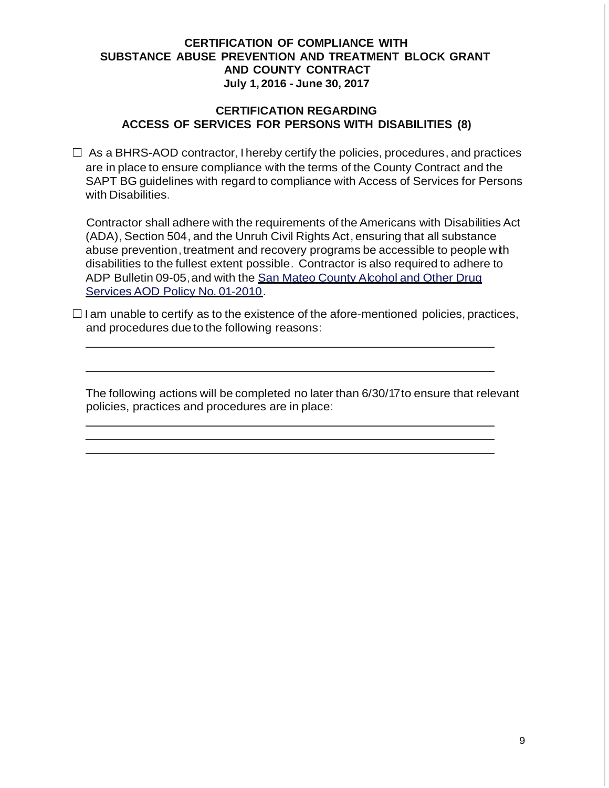#### **CERTIFICATION REGARDING ACCESS OF SERVICES FOR PERSONS WITH DISABILITIES (8)**

 $\Box$  As a BHRS-AOD contractor, I hereby certify the policies, procedures, and practices are in place to ensure compliance with the terms of the County Contract and the SAPT BG guidelines with regard to compliance with Access of Services for Persons with Disabilities.

Contractor shall adhere with the requirements of the Americans with Disabilities Act (ADA), Section 504, and the Unruh Civil Rights Act, ensuring that all substance abuse prevention, treatment and recovery programs be accessible to people with disabilities to the fullest extent possible. Contractor is also required to adhere to ADP Bulletin 09-05,and with the San Mateo County Alcohol and Other Drug Services AOD Policy No. 01-2010.

 $\Box$ I am unable to certify as to the existence of the afore-mentioned policies, practices, and procedures due to the following reasons: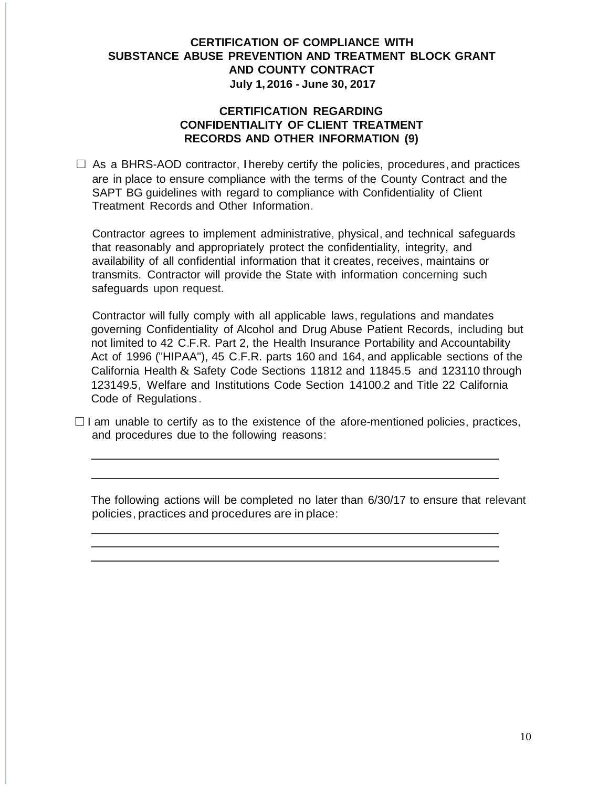#### **CERTIFICATION REGARDING CONFIDENTIALITY OF CLIENT TREATMENT RECORDS AND OTHER INFORMATION (9)**

 $\Box$  As a BHRS-AOD contractor, I hereby certify the policies, procedures, and practices are in place to ensure compliance with the terms of the County Contract and the SAPT BG guidelines with regard to compliance with Confidentiality of Client Treatment Records and Other Information.

Contractor agrees to implement administrative, physical, and technical safeguards that reasonably and appropriately protect the confidentiality, integrity, and availability of all confidential information that it creates, receives, maintains or transmits. Contractor will provide the State with information concerning such safeguards upon request.

Contractor will fully comply with all applicable laws, regulations and mandates governing Confidentiality of Alcohol and Drug Abuse Patient Records, including but not limited to 42 C.F.R. Part 2, the Health Insurance Portability and Accountability Act of 1996 ("HIPAA"), 45 C.F.R. parts 160 and 164, and applicable sections of the California Health & Safety Code Sections 11812 and 11845.5 and 123110 through 123149.5, Welfare and Institutions Code Section 14100.2 and Title 22 California Code of Regulations .

 $\Box$  I am unable to certify as to the existence of the afore-mentioned policies, practices, and procedures due to the following reasons: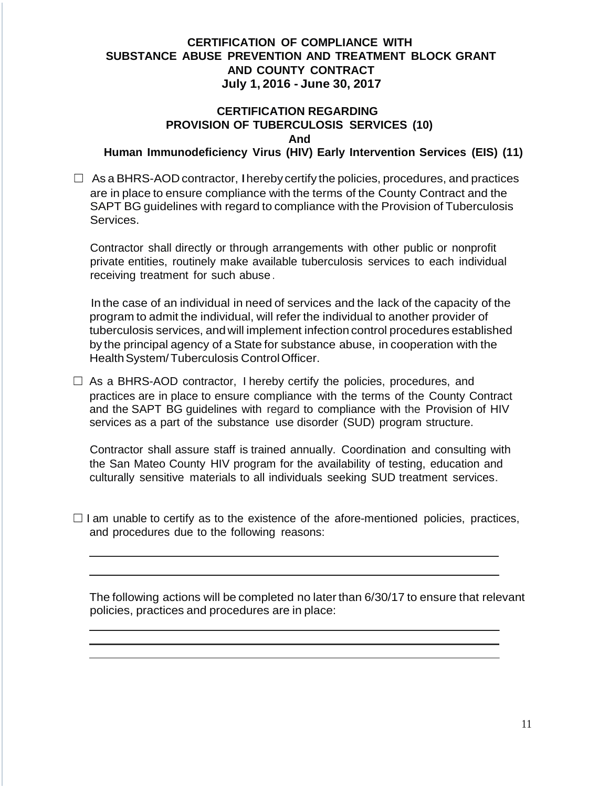# **CERTIFICATION REGARDING PROVISION OF TUBERCULOSIS SERVICES (10) And**

**Human Immunodeficiency Virus (HIV) Early Intervention Services (EIS) (11)**

 $\Box$  As a BHRS-AOD contractor, I hereby certify the policies, procedures, and practices are in place to ensure compliance with the terms of the County Contract and the SAPT BG guidelines with regard to compliance with the Provision of Tuberculosis Services.

Contractor shall directly or through arrangements with other public or nonprofit private entities, routinely make available tuberculosis services to each individual receiving treatment for such abuse.

In the case of an individual in need of services and the lack of the capacity of the program to admit the individual, will refer the individual to another provider of tuberculosis services, andwill implement infection control procedures established by the principal agency of a State for substance abuse, in cooperation with the Health System/Tuberculosis Control Officer.

 $\Box$  As a BHRS-AOD contractor, I hereby certify the policies, procedures, and practices are in place to ensure compliance with the terms of the County Contract and the SAPT BG guidelines with regard to compliance with the Provision of HIV services as a part of the substance use disorder (SUD) program structure.

Contractor shall assure staff is trained annually. Coordination and consulting with the San Mateo County HIV program for the availability of testing, education and culturally sensitive materials to all individuals seeking SUD treatment services.

 $\Box$  I am unable to certify as to the existence of the afore-mentioned policies, practices, and procedures due to the following reasons: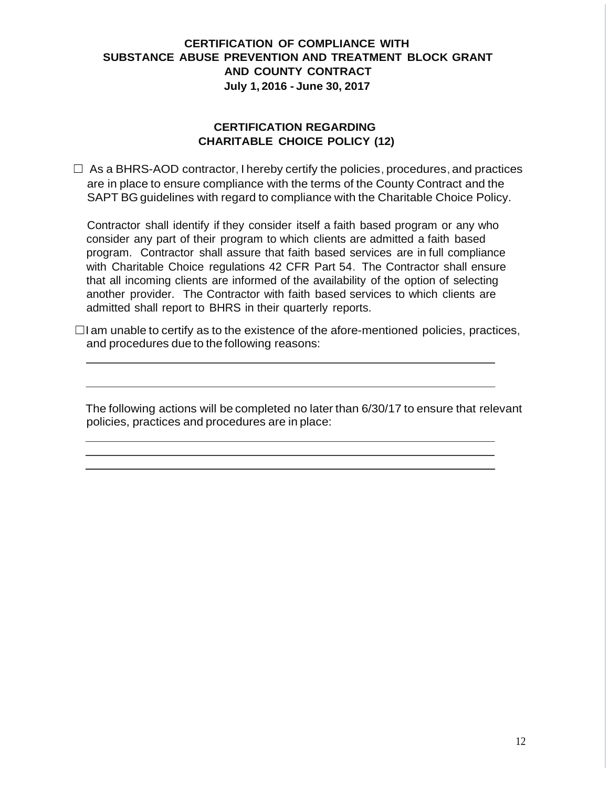# **CERTIFICATION REGARDING CHARITABLE CHOICE POLICY (12)**

 $\Box$  As a BHRS-AOD contractor, I hereby certify the policies, procedures, and practices are in place to ensure compliance with the terms of the County Contract and the SAPT BG guidelines with regard to compliance with the Charitable Choice Policy.

Contractor shall identify if they consider itself a faith based program or any who consider any part of their program to which clients are admitted a faith based program. Contractor shall assure that faith based services are in full compliance with Charitable Choice regulations 42 CFR Part 54. The Contractor shall ensure that all incoming clients are informed of the availability of the option of selecting another provider. The Contractor with faith based services to which clients are admitted shall report to BHRS in their quarterly reports.

 $\Box$ I am unable to certify as to the existence of the afore-mentioned policies, practices, and procedures due to the following reasons: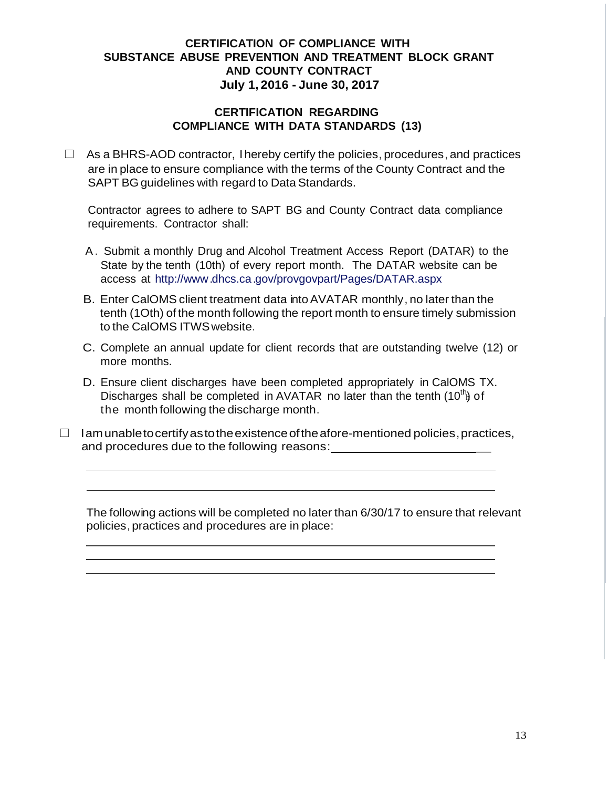#### **CERTIFICATION REGARDING COMPLIANCE WITH DATA STANDARDS (13)**

 $\Box$  As a BHRS-AOD contractor, I hereby certify the policies, procedures, and practices are in place to ensure compliance with the terms of the County Contract and the SAPT BG guidelines with regard to Data Standards.

Contractor agrees to adhere to SAPT BG and County Contract data compliance requirements. Contractor shall:

- A. Submit a monthly Drug and Alcohol Treatment Access Report (DATAR) to the State by the tenth (10th) of every report month. The DATAR website can be access at [http://www.](http://www/)dhcs.ca.gov/provgovpart/Pages/DATAR.aspx
- B. Enter CalOMS client treatment data intoAVATAR monthly, no later than the tenth (1Oth) of the month following the report month to ensure timely submission to the CalOMS ITWSwebsite.
- C. Complete an annual update for client records that are outstanding twelve (12) or more months.
- Discharges shall be completed in AVATAR no later than the tenth (10<sup>th</sup>) of D. Ensure client discharges have been completed appropriately in CalOMS TX. the month following the discharge month.
- $\Box$  Iam unable to certify as to the existence of the afore-mentioned policies, practices, and procedures due to the following reasons: \_\_\_\_\_\_\_\_\_\_\_\_\_\_\_\_\_\_\_\_\_\_\_\_\_\_\_\_\_\_\_\_\_\_\_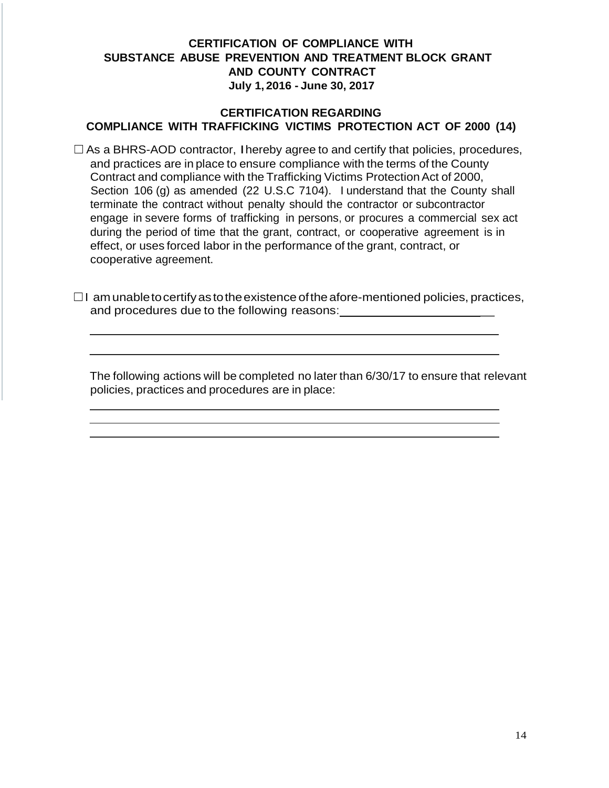#### **CERTIFICATION REGARDING COMPLIANCE WITH TRAFFICKING VICTIMS PROTECTION ACT OF 2000 (14)**

 $\Box$  As a BHRS-AOD contractor, I hereby agree to and certify that policies, procedures, and practices are in place to ensure compliance with the terms of the County Contract and compliance with the Trafficking Victims Protection Act of 2000, Section 106 (g) as amended (22 U.S.C 7104). I understand that the County shall terminate the contract without penalty should the contractor or subcontractor engage in severe forms of trafficking in persons, or procures a commercial sex act during the period of time that the grant, contract, or cooperative agreement is in effect, or uses forced labor in the performance of the grant, contract, or cooperative agreement.

 $\Box$ I am unable to certify as to the existence of the afore-mentioned policies, practices, and procedures due to the following reasons: \_\_\_\_\_\_\_\_\_\_\_\_\_\_\_\_\_\_\_\_\_\_\_\_\_\_\_\_\_\_\_\_\_\_\_